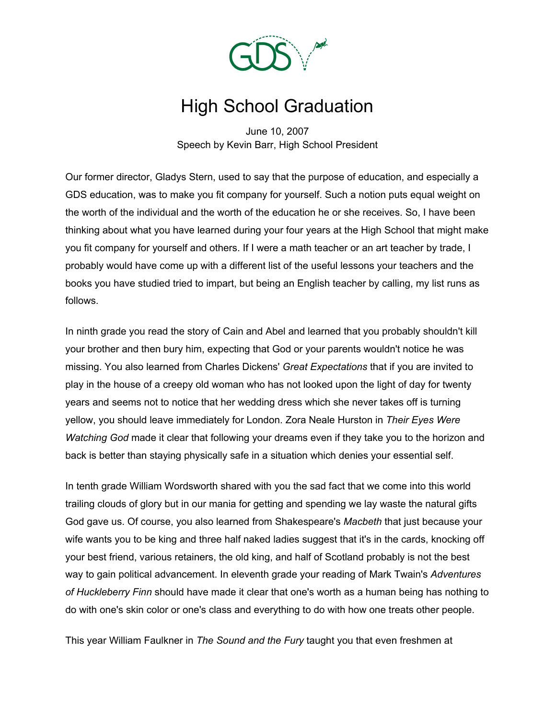

## High School Graduation

June 10, 2007 Speech by Kevin Barr, High School President

Our former director, Gladys Stern, used to say that the purpose of education, and especially a GDS education, was to make you fit company for yourself. Such a notion puts equal weight on the worth of the individual and the worth of the education he or she receives. So, I have been thinking about what you have learned during your four years at the High School that might make you fit company for yourself and others. If I were a math teacher or an art teacher by trade, I probably would have come up with a different list of the useful lessons your teachers and the books you have studied tried to impart, but being an English teacher by calling, my list runs as follows.

In ninth grade you read the story of Cain and Abel and learned that you probably shouldn't kill your brother and then bury him, expecting that God or your parents wouldn't notice he was missing. You also learned from Charles Dickens' *Great Expectations* that if you are invited to play in the house of a creepy old woman who has not looked upon the light of day for twenty years and seems not to notice that her wedding dress which she never takes off is turning yellow, you should leave immediately for London. Zora Neale Hurston in *Their Eyes Were Watching God* made it clear that following your dreams even if they take you to the horizon and back is better than staying physically safe in a situation which denies your essential self.

In tenth grade William Wordsworth shared with you the sad fact that we come into this world trailing clouds of glory but in our mania for getting and spending we lay waste the natural gifts God gave us. Of course, you also learned from Shakespeare's *Macbeth* that just because your wife wants you to be king and three half naked ladies suggest that it's in the cards, knocking off your best friend, various retainers, the old king, and half of Scotland probably is not the best way to gain political advancement. In eleventh grade your reading of Mark Twain's *Adventures of Huckleberry Finn* should have made it clear that one's worth as a human being has nothing to do with one's skin color or one's class and everything to do with how one treats other people.

This year William Faulkner in *The Sound and the Fury* taught you that even freshmen at